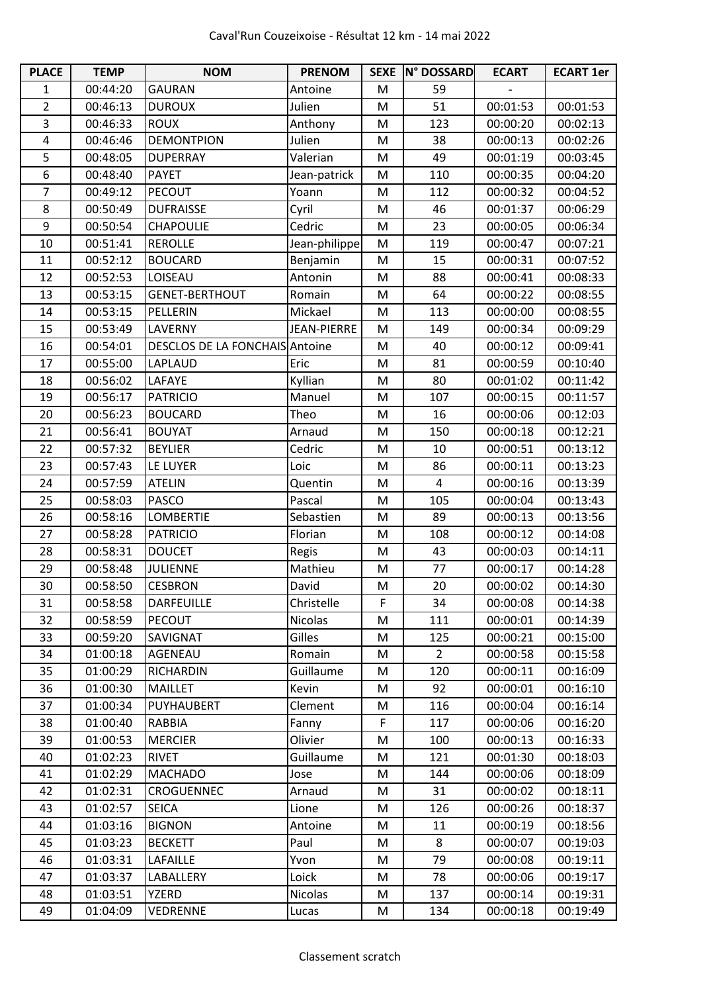| <b>PLACE</b>   | <b>TEMP</b> | <b>NOM</b>                     | <b>PRENOM</b>      |   | SEXE N° DOSSARD | <b>ECART</b> | <b>ECART 1er</b> |
|----------------|-------------|--------------------------------|--------------------|---|-----------------|--------------|------------------|
| 1              | 00:44:20    | <b>GAURAN</b>                  | Antoine            | M | 59              |              |                  |
| $\overline{2}$ | 00:46:13    | <b>DUROUX</b>                  | Julien             | M | 51              | 00:01:53     | 00:01:53         |
| 3              | 00:46:33    | <b>ROUX</b>                    | Anthony            | M | 123             | 00:00:20     | 00:02:13         |
| 4              | 00:46:46    | <b>DEMONTPION</b>              | Julien             | M | 38              | 00:00:13     | 00:02:26         |
| 5              | 00:48:05    | <b>DUPERRAY</b>                | Valerian           | M | 49              | 00:01:19     | 00:03:45         |
| 6              | 00:48:40    | <b>PAYET</b>                   | Jean-patrick       | M | 110             | 00:00:35     | 00:04:20         |
| 7              | 00:49:12    | <b>PECOUT</b>                  | Yoann              | M | 112             | 00:00:32     | 00:04:52         |
| 8              | 00:50:49    | <b>DUFRAISSE</b>               | Cyril              | M | 46              | 00:01:37     | 00:06:29         |
| 9              | 00:50:54    | CHAPOULIE                      | Cedric             | M | 23              | 00:00:05     | 00:06:34         |
| 10             | 00:51:41    | <b>REROLLE</b>                 | Jean-philippe      | M | 119             | 00:00:47     | 00:07:21         |
| 11             | 00:52:12    | <b>BOUCARD</b>                 | Benjamin           | M | 15              | 00:00:31     | 00:07:52         |
| 12             | 00:52:53    | LOISEAU                        | Antonin            | M | 88              | 00:00:41     | 00:08:33         |
| 13             | 00:53:15    | <b>GENET-BERTHOUT</b>          | Romain             | M | 64              | 00:00:22     | 00:08:55         |
| 14             | 00:53:15    | PELLERIN                       | Mickael            | M | 113             | 00:00:00     | 00:08:55         |
| 15             | 00:53:49    | LAVERNY                        | <b>JEAN-PIERRE</b> | M | 149             | 00:00:34     | 00:09:29         |
| 16             | 00:54:01    | DESCLOS DE LA FONCHAIS Antoine |                    | M | 40              | 00:00:12     | 00:09:41         |
| 17             | 00:55:00    | LAPLAUD                        | Eric               | M | 81              | 00:00:59     | 00:10:40         |
| 18             | 00:56:02    | LAFAYE                         | Kyllian            | M | 80              | 00:01:02     | 00:11:42         |
| 19             | 00:56:17    | <b>PATRICIO</b>                | Manuel             | M | 107             | 00:00:15     | 00:11:57         |
| 20             | 00:56:23    | <b>BOUCARD</b>                 | Theo               | M | 16              | 00:00:06     | 00:12:03         |
| 21             | 00:56:41    | <b>BOUYAT</b>                  | Arnaud             | M | 150             | 00:00:18     | 00:12:21         |
| 22             | 00:57:32    | <b>BEYLIER</b>                 | Cedric             | M | 10              | 00:00:51     | 00:13:12         |
| 23             | 00:57:43    | LE LUYER                       | Loic               | M | 86              | 00:00:11     | 00:13:23         |
| 24             | 00:57:59    | <b>ATELIN</b>                  | Quentin            | M | 4               | 00:00:16     | 00:13:39         |
| 25             | 00:58:03    | <b>PASCO</b>                   | Pascal             | M | 105             | 00:00:04     | 00:13:43         |
| 26             | 00:58:16    | <b>LOMBERTIE</b>               | Sebastien          | M | 89              | 00:00:13     | 00:13:56         |
| 27             | 00:58:28    | <b>PATRICIO</b>                | Florian            | M | 108             | 00:00:12     | 00:14:08         |
| 28             | 00:58:31    | <b>DOUCET</b>                  | Regis              | M | 43              | 00:00:03     | 00:14:11         |
| 29             | 00:58:48    | <b>JULIENNE</b>                | Mathieu            | M | 77              | 00:00:17     | 00:14:28         |
| 30             | 00:58:50    | <b>CESBRON</b>                 | David              | M | 20              | 00:00:02     | 00:14:30         |
| 31             | 00:58:58    | <b>DARFEUILLE</b>              | Christelle         | F | 34              | 00:00:08     | 00:14:38         |
| 32             | 00:58:59    | <b>PECOUT</b>                  | <b>Nicolas</b>     | M | 111             | 00:00:01     | 00:14:39         |
| 33             | 00:59:20    | SAVIGNAT                       | Gilles             | M | 125             | 00:00:21     | 00:15:00         |
| 34             | 01:00:18    | AGENEAU                        | Romain             | M | $\overline{2}$  | 00:00:58     | 00:15:58         |
| 35             | 01:00:29    | <b>RICHARDIN</b>               | Guillaume          | M | 120             | 00:00:11     | 00:16:09         |
| 36             | 01:00:30    | <b>MAILLET</b>                 | Kevin              | M | 92              | 00:00:01     | 00:16:10         |
| 37             | 01:00:34    | PUYHAUBERT                     | Clement            | M | 116             | 00:00:04     | 00:16:14         |
| 38             | 01:00:40    | <b>RABBIA</b>                  | Fanny              | F | 117             | 00:00:06     | 00:16:20         |
| 39             | 01:00:53    | <b>MERCIER</b>                 | Olivier            | M | 100             | 00:00:13     | 00:16:33         |
| 40             | 01:02:23    | <b>RIVET</b>                   | Guillaume          | M | 121             | 00:01:30     | 00:18:03         |
| 41             | 01:02:29    | <b>MACHADO</b>                 | Jose               | M | 144             | 00:00:06     | 00:18:09         |
| 42             | 01:02:31    | CROGUENNEC                     | Arnaud             | M | 31              | 00:00:02     | 00:18:11         |
| 43             | 01:02:57    | <b>SEICA</b>                   | Lione              | M | 126             | 00:00:26     | 00:18:37         |
| 44             | 01:03:16    | <b>BIGNON</b>                  | Antoine            | M | 11              | 00:00:19     | 00:18:56         |
| 45             | 01:03:23    | <b>BECKETT</b>                 | Paul               | M | 8               | 00:00:07     | 00:19:03         |
| 46             | 01:03:31    | <b>LAFAILLE</b>                | Yvon               | M | 79              | 00:00:08     | 00:19:11         |
| 47             | 01:03:37    | LABALLERY                      | Loick              | M | 78              | 00:00:06     | 00:19:17         |
| 48             | 01:03:51    | <b>YZERD</b>                   | Nicolas            | M | 137             | 00:00:14     | 00:19:31         |
| 49             | 01:04:09    | <b>VEDRENNE</b>                | Lucas              | M | 134             | 00:00:18     | 00:19:49         |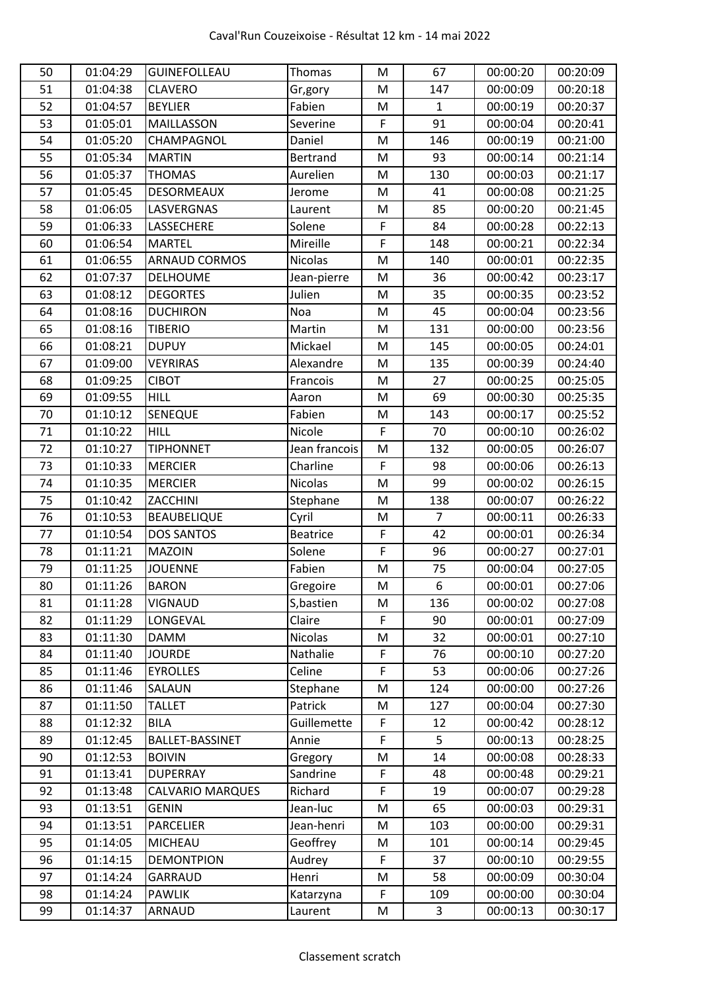| 50 | 01:04:29 | <b>GUINEFOLLEAU</b>    | Thomas          | M | 67             | 00:00:20 | 00:20:09 |
|----|----------|------------------------|-----------------|---|----------------|----------|----------|
| 51 | 01:04:38 | <b>CLAVERO</b>         | Gr,gory         | M | 147            | 00:00:09 | 00:20:18 |
| 52 | 01:04:57 | <b>BEYLIER</b>         | Fabien          | M | $\mathbf{1}$   | 00:00:19 | 00:20:37 |
| 53 | 01:05:01 | <b>MAILLASSON</b>      | Severine        | F | 91             | 00:00:04 | 00:20:41 |
| 54 | 01:05:20 | CHAMPAGNOL             | Daniel          | M | 146            | 00:00:19 | 00:21:00 |
| 55 | 01:05:34 | <b>MARTIN</b>          | <b>Bertrand</b> | M | 93             | 00:00:14 | 00:21:14 |
| 56 | 01:05:37 | <b>THOMAS</b>          | Aurelien        | M | 130            | 00:00:03 | 00:21:17 |
| 57 | 01:05:45 | <b>DESORMEAUX</b>      | Jerome          | M | 41             | 00:00:08 | 00:21:25 |
| 58 | 01:06:05 | <b>LASVERGNAS</b>      | Laurent         | M | 85             | 00:00:20 | 00:21:45 |
| 59 | 01:06:33 | LASSECHERE             | Solene          | F | 84             | 00:00:28 | 00:22:13 |
| 60 | 01:06:54 | <b>MARTEL</b>          | Mireille        | F | 148            | 00:00:21 | 00:22:34 |
| 61 | 01:06:55 | <b>ARNAUD CORMOS</b>   | Nicolas         | M | 140            | 00:00:01 | 00:22:35 |
| 62 | 01:07:37 | DELHOUME               | Jean-pierre     | M | 36             | 00:00:42 | 00:23:17 |
| 63 | 01:08:12 | <b>DEGORTES</b>        | Julien          | M | 35             | 00:00:35 | 00:23:52 |
| 64 | 01:08:16 | <b>DUCHIRON</b>        | Noa             | M | 45             | 00:00:04 | 00:23:56 |
| 65 | 01:08:16 | <b>TIBERIO</b>         | Martin          | M | 131            | 00:00:00 | 00:23:56 |
| 66 | 01:08:21 | <b>DUPUY</b>           | Mickael         | M | 145            | 00:00:05 | 00:24:01 |
| 67 | 01:09:00 | <b>VEYRIRAS</b>        | Alexandre       | M | 135            | 00:00:39 | 00:24:40 |
| 68 | 01:09:25 | <b>CIBOT</b>           | Francois        | M | 27             | 00:00:25 | 00:25:05 |
| 69 | 01:09:55 | <b>HILL</b>            | Aaron           | M | 69             | 00:00:30 | 00:25:35 |
| 70 | 01:10:12 | <b>SENEQUE</b>         | Fabien          | M | 143            | 00:00:17 | 00:25:52 |
| 71 | 01:10:22 | <b>HILL</b>            | Nicole          | F | 70             | 00:00:10 | 00:26:02 |
| 72 | 01:10:27 | <b>TIPHONNET</b>       | Jean francois   | M | 132            | 00:00:05 | 00:26:07 |
| 73 | 01:10:33 | <b>MERCIER</b>         | Charline        | F | 98             | 00:00:06 | 00:26:13 |
| 74 | 01:10:35 | <b>MERCIER</b>         | Nicolas         | M | 99             | 00:00:02 | 00:26:15 |
| 75 | 01:10:42 | ZACCHINI               | Stephane        | M | 138            | 00:00:07 | 00:26:22 |
| 76 | 01:10:53 | <b>BEAUBELIQUE</b>     | Cyril           | M | $\overline{7}$ | 00:00:11 | 00:26:33 |
| 77 | 01:10:54 | <b>DOS SANTOS</b>      | <b>Beatrice</b> | F | 42             | 00:00:01 | 00:26:34 |
| 78 | 01:11:21 | <b>MAZOIN</b>          | Solene          | F | 96             | 00:00:27 | 00:27:01 |
| 79 | 01:11:25 | <b>JOUENNE</b>         | Fabien          | M | 75             | 00:00:04 | 00:27:05 |
| 80 | 01:11:26 | <b>BARON</b>           | Gregoire        | M | 6              | 00:00:01 | 00:27:06 |
| 81 | 01:11:28 | <b>VIGNAUD</b>         | S, bastien      | M | 136            | 00:00:02 | 00:27:08 |
| 82 | 01:11:29 | LONGEVAL               | Claire          | F | 90             | 00:00:01 | 00:27:09 |
| 83 | 01:11:30 | <b>DAMM</b>            | <b>Nicolas</b>  | M | 32             | 00:00:01 | 00:27:10 |
| 84 | 01:11:40 | <b>JOURDE</b>          | Nathalie        | F | 76             | 00:00:10 | 00:27:20 |
| 85 | 01:11:46 | <b>EYROLLES</b>        | Celine          | F | 53             | 00:00:06 | 00:27:26 |
| 86 | 01:11:46 | SALAUN                 | Stephane        | M | 124            | 00:00:00 | 00:27:26 |
| 87 | 01:11:50 | <b>TALLET</b>          | Patrick         | M | 127            | 00:00:04 | 00:27:30 |
| 88 | 01:12:32 | <b>BILA</b>            | Guillemette     | F | 12             | 00:00:42 | 00:28:12 |
| 89 | 01:12:45 | <b>BALLET-BASSINET</b> | Annie           | F | 5              | 00:00:13 | 00:28:25 |
| 90 | 01:12:53 | <b>BOIVIN</b>          | Gregory         | M | 14             | 00:00:08 | 00:28:33 |
| 91 | 01:13:41 | <b>DUPERRAY</b>        | Sandrine        | F | 48             | 00:00:48 | 00:29:21 |
| 92 | 01:13:48 | CALVARIO MARQUES       | Richard         | F | 19             | 00:00:07 | 00:29:28 |
| 93 | 01:13:51 | <b>GENIN</b>           | Jean-luc        | M | 65             | 00:00:03 | 00:29:31 |
| 94 | 01:13:51 | <b>PARCELIER</b>       | Jean-henri      | M | 103            | 00:00:00 | 00:29:31 |
| 95 | 01:14:05 | <b>MICHEAU</b>         | Geoffrey        | M | 101            | 00:00:14 | 00:29:45 |
| 96 | 01:14:15 | <b>DEMONTPION</b>      | Audrey          | F | 37             | 00:00:10 | 00:29:55 |
| 97 | 01:14:24 | GARRAUD                | Henri           | M | 58             | 00:00:09 | 00:30:04 |
| 98 | 01:14:24 | <b>PAWLIK</b>          | Katarzyna       | F | 109            | 00:00:00 | 00:30:04 |
| 99 | 01:14:37 | <b>ARNAUD</b>          | Laurent         | M | 3              | 00:00:13 | 00:30:17 |